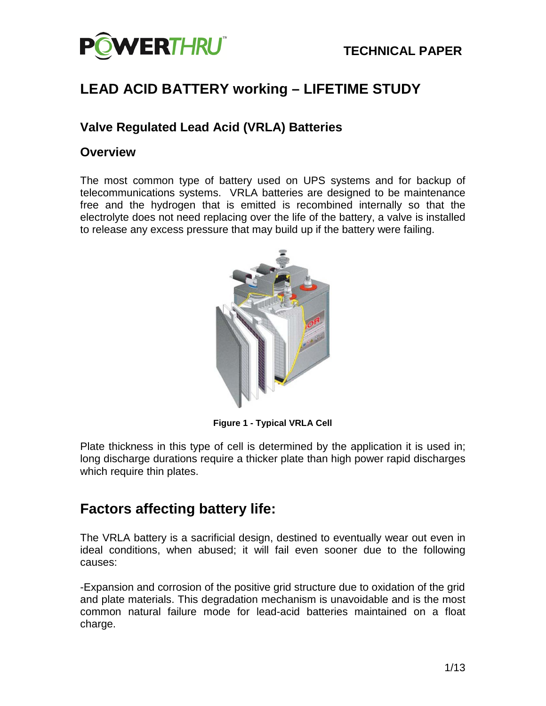

# **LEAD ACID BATTERY working – LIFETIME STUDY**

### **Valve Regulated Lead Acid (VRLA) Batteries**

#### **Overview**

The most common type of battery used on UPS systems and for backup of telecommunications systems. VRLA batteries are designed to be maintenance free and the hydrogen that is emitted is recombined internally so that the electrolyte does not need replacing over the life of the battery, a valve is installed to release any excess pressure that may build up if the battery were failing.



**Figure 1 - Typical VRLA Cell**

Plate thickness in this type of cell is determined by the application it is used in; long discharge durations require a thicker plate than high power rapid discharges which require thin plates.

# **Factors affecting battery life:**

The VRLA battery is a sacrificial design, destined to eventually wear out even in ideal conditions, when abused; it will fail even sooner due to the following causes:

-Expansion and corrosion of the positive grid structure due to oxidation of the grid and plate materials. This degradation mechanism is unavoidable and is the most common natural failure mode for lead-acid batteries maintained on a float charge.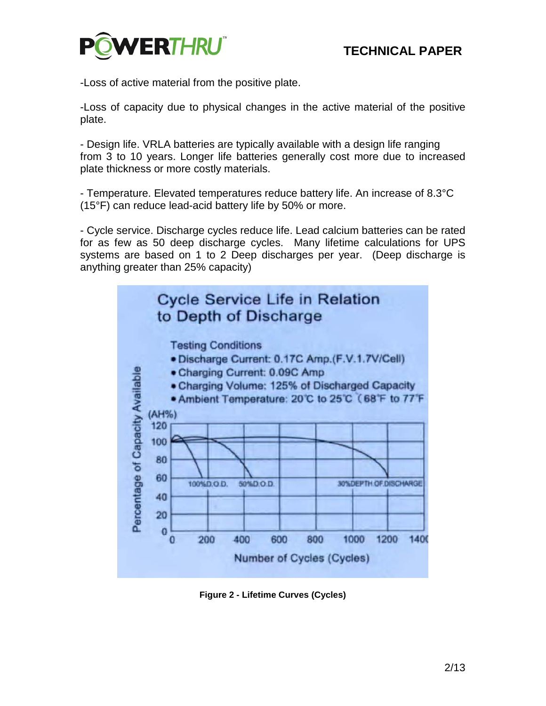

-Loss of active material from the positive plate.

-Loss of capacity due to physical changes in the active material of the positive plate.

- Design life. VRLA batteries are typically available with a design life ranging from 3 to 10 years. Longer life batteries generally cost more due to increased plate thickness or more costly materials.

- Temperature. Elevated temperatures reduce battery life. An increase of 8.3°C (15°F) can reduce lead-acid battery life by 50% or more.

- Cycle service. Discharge cycles reduce life. Lead calcium batteries can be rated for as few as 50 deep discharge cycles. Many lifetime calculations for UPS systems are based on 1 to 2 Deep discharges per year. (Deep discharge is anything greater than 25% capacity)



**Figure 2 - Lifetime Curves (Cycles)**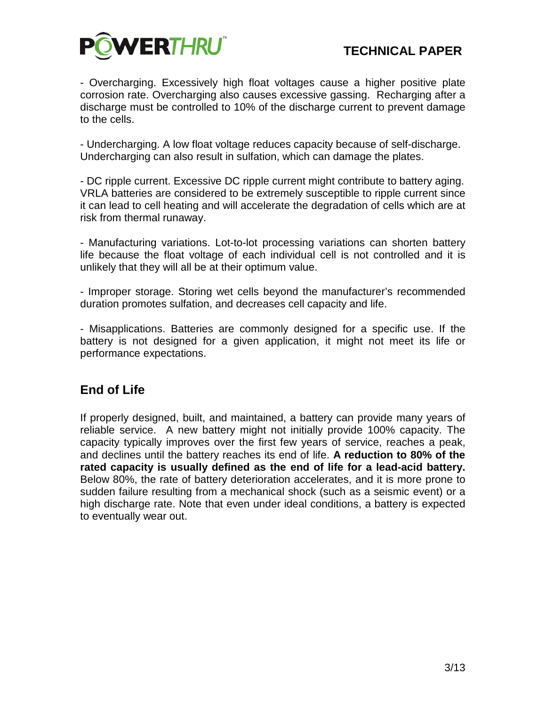

- Overcharging. Excessively high float voltages cause a higher positive plate corrosion rate. Overcharging also causes excessive gassing. Recharging after a discharge must be controlled to 10% of the discharge current to prevent damage to the cells.

- Undercharging. A low float voltage reduces capacity because of self-discharge. Undercharging can also result in sulfation, which can damage the plates.

- DC ripple current. Excessive DC ripple current might contribute to battery aging. VRLA batteries are considered to be extremely susceptible to ripple current since it can lead to cell heating and will accelerate the degradation of cells which are at risk from thermal runaway.

- Manufacturing variations. Lot-to-lot processing variations can shorten battery life because the float voltage of each individual cell is not controlled and it is unlikely that they will all be at their optimum value.

- Improper storage. Storing wet cells beyond the manufacturer's recommended duration promotes sulfation, and decreases cell capacity and life.

- Misapplications. Batteries are commonly designed for a specific use. If the battery is not designed for a given application, it might not meet its life or performance expectations.

### **End of Life**

If properly designed, built, and maintained, a battery can provide many years of reliable service. A new battery might not initially provide 100% capacity. The capacity typically improves over the first few years of service, reaches a peak, and declines until the battery reaches its end of life. **A reduction to 80% of the rated capacity is usually defined as the end of life for a lead-acid battery.** Below 80%, the rate of battery deterioration accelerates, and it is more prone to sudden failure resulting from a mechanical shock (such as a seismic event) or a high discharge rate. Note that even under ideal conditions, a battery is expected to eventually wear out.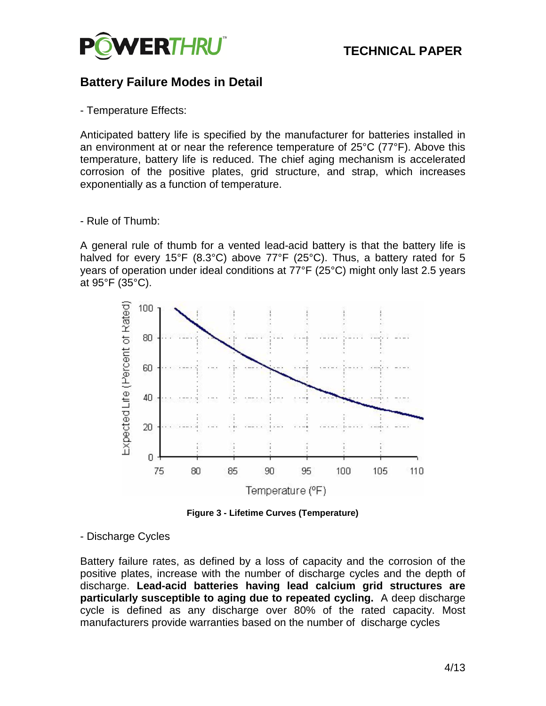

### **Battery Failure Modes in Detail**

- Temperature Effects:

Anticipated battery life is specified by the manufacturer for batteries installed in an environment at or near the reference temperature of 25°C (77°F). Above this temperature, battery life is reduced. The chief aging mechanism is accelerated corrosion of the positive plates, grid structure, and strap, which increases exponentially as a function of temperature.

#### - Rule of Thumb:

A general rule of thumb for a vented lead-acid battery is that the battery life is halved for every 15°F (8.3°C) above 77°F (25°C). Thus, a battery rated for 5 years of operation under ideal conditions at 77°F (25°C) might only last 2.5 years at 95°F (35°C).



**Figure 3 - Lifetime Curves (Temperature)**

#### - Discharge Cycles

Battery failure rates, as defined by a loss of capacity and the corrosion of the positive plates, increase with the number of discharge cycles and the depth of discharge. **Lead-acid batteries having lead calcium grid structures are particularly susceptible to aging due to repeated cycling.** A deep discharge cycle is defined as any discharge over 80% of the rated capacity. Most manufacturers provide warranties based on the number of discharge cycles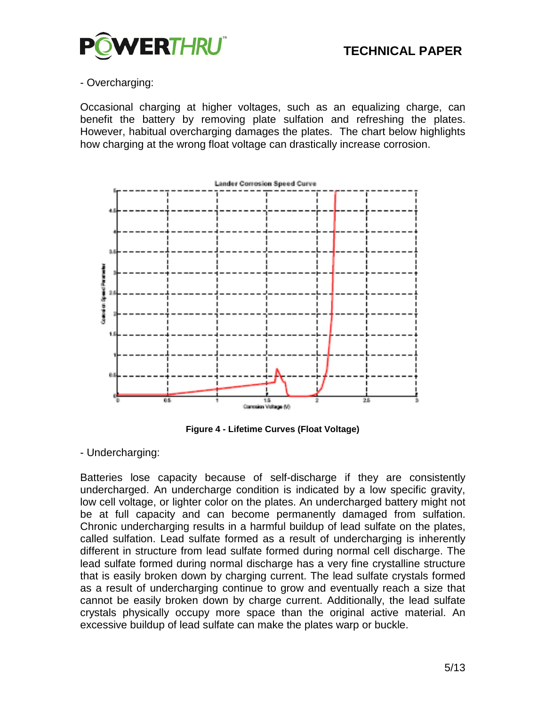

#### - Overcharging:

Occasional charging at higher voltages, such as an equalizing charge, can benefit the battery by removing plate sulfation and refreshing the plates. However, habitual overcharging damages the plates. The chart below highlights how charging at the wrong float voltage can drastically increase corrosion.



**Figure 4 - Lifetime Curves (Float Voltage)**

- Undercharging:

Batteries lose capacity because of self-discharge if they are consistently undercharged. An undercharge condition is indicated by a low specific gravity, low cell voltage, or lighter color on the plates. An undercharged battery might not be at full capacity and can become permanently damaged from sulfation. Chronic undercharging results in a harmful buildup of lead sulfate on the plates, called sulfation. Lead sulfate formed as a result of undercharging is inherently different in structure from lead sulfate formed during normal cell discharge. The lead sulfate formed during normal discharge has a very fine crystalline structure that is easily broken down by charging current. The lead sulfate crystals formed as a result of undercharging continue to grow and eventually reach a size that cannot be easily broken down by charge current. Additionally, the lead sulfate crystals physically occupy more space than the original active material. An excessive buildup of lead sulfate can make the plates warp or buckle.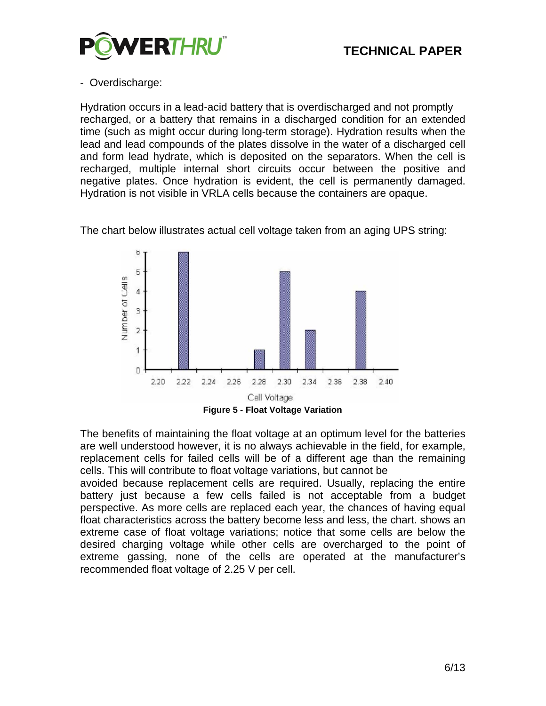

#### - Overdischarge:

Hydration occurs in a lead-acid battery that is overdischarged and not promptly recharged, or a battery that remains in a discharged condition for an extended time (such as might occur during long-term storage). Hydration results when the lead and lead compounds of the plates dissolve in the water of a discharged cell and form lead hydrate, which is deposited on the separators. When the cell is recharged, multiple internal short circuits occur between the positive and negative plates. Once hydration is evident, the cell is permanently damaged. Hydration is not visible in VRLA cells because the containers are opaque.

The chart below illustrates actual cell voltage taken from an aging UPS string:



The benefits of maintaining the float voltage at an optimum level for the batteries are well understood however, it is no always achievable in the field, for example, replacement cells for failed cells will be of a different age than the remaining cells. This will contribute to float voltage variations, but cannot be

avoided because replacement cells are required. Usually, replacing the entire battery just because a few cells failed is not acceptable from a budget perspective. As more cells are replaced each year, the chances of having equal float characteristics across the battery become less and less, the chart. shows an extreme case of float voltage variations; notice that some cells are below the desired charging voltage while other cells are overcharged to the point of extreme gassing, none of the cells are operated at the manufacturer's recommended float voltage of 2.25 V per cell.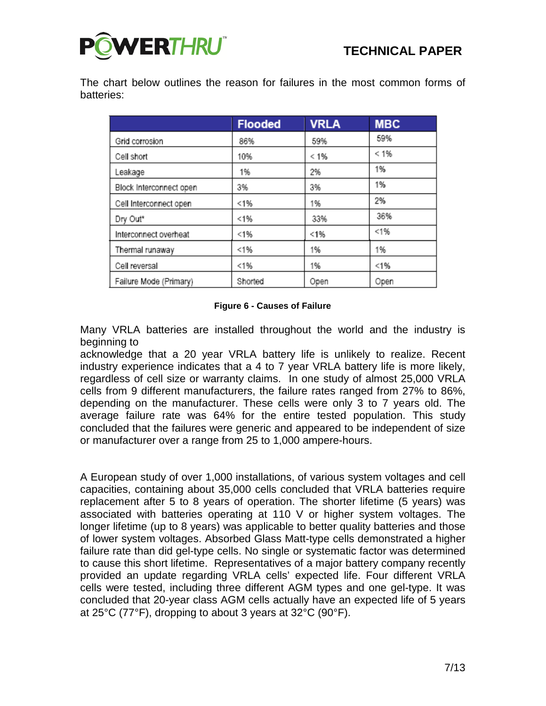

The chart below outlines the reason for failures in the most common forms of batteries:

|                         | <b>Flooded</b> | <b>VRLA</b> | <b>MBC</b> |
|-------------------------|----------------|-------------|------------|
| Grid corrosion          | 86%            | 59%         | 59%        |
| Cell short              | 10%            | $< 1\%$     | < 1%       |
| Leakage                 | 1%             | 2%          | 1%         |
| Block Interconnect open | 3%             | 3%          | 1%         |
| Cell Interconnect open  | < 1%           | 1%          | 2%         |
| Dry Out*                | < 1%           | 33%         | 36%        |
| Interconnect overheat   | < 1%           | < 1%        | < 1%       |
| Thermal runaway         | < 1%           | 1%          | 1%         |
| Cell reversal           | < 1%           | 1%          | < 1%       |
| Failure Mode (Primary)  | Shorted        | Open        | Open       |

#### **Figure 6 - Causes of Failure**

Many VRLA batteries are installed throughout the world and the industry is beginning to

acknowledge that a 20 year VRLA battery life is unlikely to realize. Recent industry experience indicates that a 4 to 7 year VRLA battery life is more likely, regardless of cell size or warranty claims. In one study of almost 25,000 VRLA cells from 9 different manufacturers, the failure rates ranged from 27% to 86%, depending on the manufacturer. These cells were only 3 to 7 years old. The average failure rate was 64% for the entire tested population. This study concluded that the failures were generic and appeared to be independent of size or manufacturer over a range from 25 to 1,000 ampere-hours.

A European study of over 1,000 installations, of various system voltages and cell capacities, containing about 35,000 cells concluded that VRLA batteries require replacement after 5 to 8 years of operation. The shorter lifetime (5 years) was associated with batteries operating at 110 V or higher system voltages. The longer lifetime (up to 8 years) was applicable to better quality batteries and those of lower system voltages. Absorbed Glass Matt-type cells demonstrated a higher failure rate than did gel-type cells. No single or systematic factor was determined to cause this short lifetime. Representatives of a major battery company recently provided an update regarding VRLA cells' expected life. Four different VRLA cells were tested, including three different AGM types and one gel-type. It was concluded that 20-year class AGM cells actually have an expected life of 5 years at 25°C (77°F), dropping to about 3 years at 32°C (90°F).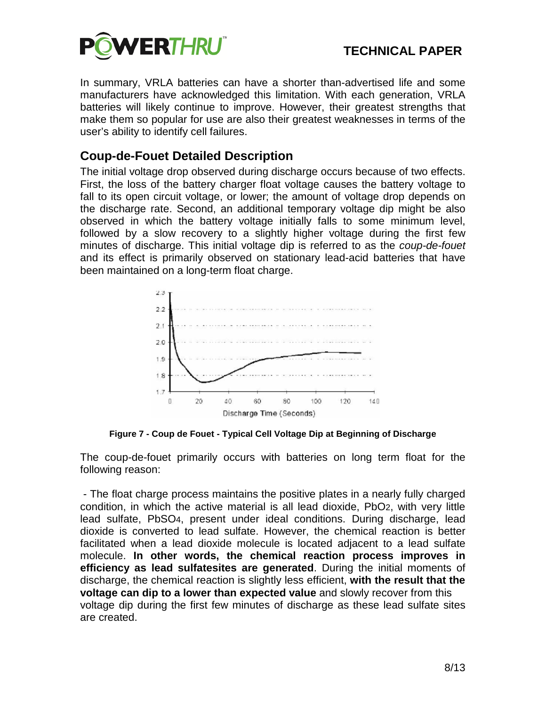

In summary, VRLA batteries can have a shorter than-advertised life and some manufacturers have acknowledged this limitation. With each generation, VRLA batteries will likely continue to improve. However, their greatest strengths that make them so popular for use are also their greatest weaknesses in terms of the user's ability to identify cell failures.

### **Coup-de-Fouet Detailed Description**

The initial voltage drop observed during discharge occurs because of two effects. First, the loss of the battery charger float voltage causes the battery voltage to fall to its open circuit voltage, or lower; the amount of voltage drop depends on the discharge rate. Second, an additional temporary voltage dip might be also observed in which the battery voltage initially falls to some minimum level, followed by a slow recovery to a slightly higher voltage during the first few minutes of discharge. This initial voltage dip is referred to as the *coup-de-fouet*  and its effect is primarily observed on stationary lead-acid batteries that have been maintained on a long-term float charge.



**Figure 7 - Coup de Fouet - Typical Cell Voltage Dip at Beginning of Discharge**

The coup-de-fouet primarily occurs with batteries on long term float for the following reason:

- The float charge process maintains the positive plates in a nearly fully charged condition, in which the active material is all lead dioxide, PbO2, with very little lead sulfate, PbSO4, present under ideal conditions. During discharge, lead dioxide is converted to lead sulfate. However, the chemical reaction is better facilitated when a lead dioxide molecule is located adjacent to a lead sulfate molecule. **In other words, the chemical reaction process improves in efficiency as lead sulfatesites are generated**. During the initial moments of discharge, the chemical reaction is slightly less efficient, **with the result that the voltage can dip to a lower than expected value** and slowly recover from this voltage dip during the first few minutes of discharge as these lead sulfate sites are created.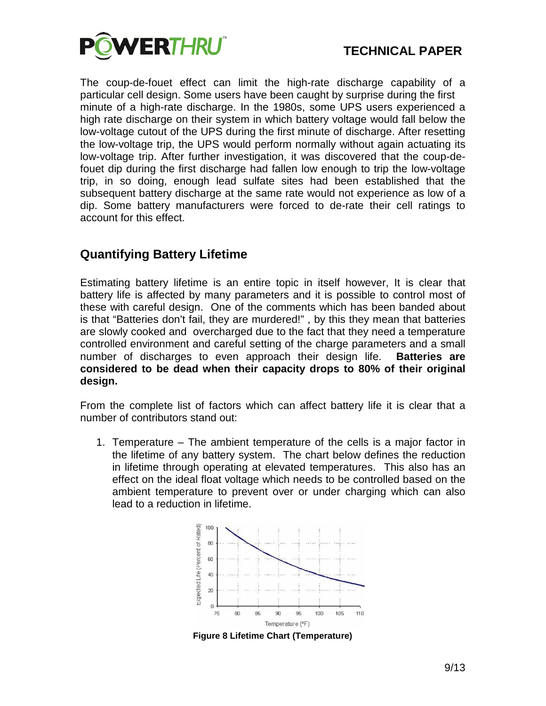

The coup-de-fouet effect can limit the high-rate discharge capability of a particular cell design. Some users have been caught by surprise during the first minute of a high-rate discharge. In the 1980s, some UPS users experienced a high rate discharge on their system in which battery voltage would fall below the low-voltage cutout of the UPS during the first minute of discharge. After resetting the low-voltage trip, the UPS would perform normally without again actuating its low-voltage trip. After further investigation, it was discovered that the coup-defouet dip during the first discharge had fallen low enough to trip the low-voltage trip, in so doing, enough lead sulfate sites had been established that the subsequent battery discharge at the same rate would not experience as low of a dip. Some battery manufacturers were forced to de-rate their cell ratings to account for this effect.

### **Quantifying Battery Lifetime**

Estimating battery lifetime is an entire topic in itself however, It is clear that battery life is affected by many parameters and it is possible to control most of these with careful design. One of the comments which has been banded about is that "Batteries don't fail, they are murdered!" , by this they mean that batteries are slowly cooked and overcharged due to the fact that they need a temperature controlled environment and careful setting of the charge parameters and a small number of discharges to even approach their design life. **Batteries are considered to be dead when their capacity drops to 80% of their original design.**

From the complete list of factors which can affect battery life it is clear that a number of contributors stand out:

1. Temperature – The ambient temperature of the cells is a major factor in the lifetime of any battery system. The chart below defines the reduction in lifetime through operating at elevated temperatures. This also has an effect on the ideal float voltage which needs to be controlled based on the ambient temperature to prevent over or under charging which can also lead to a reduction in lifetime.



**Figure 8 Lifetime Chart (Temperature)**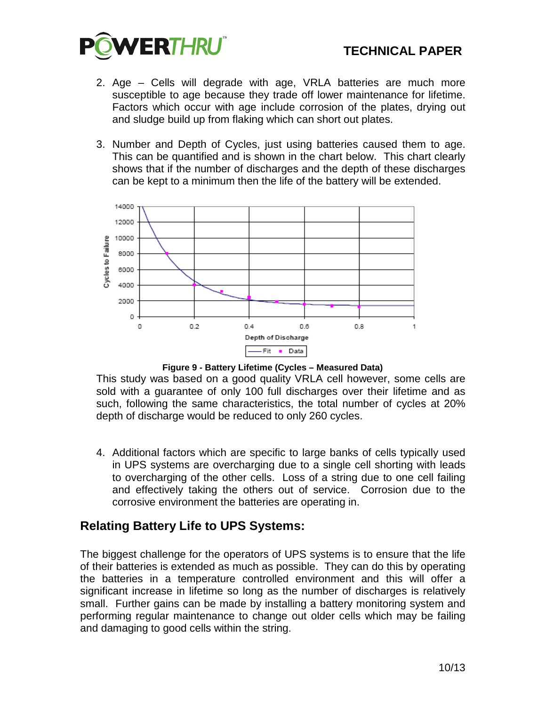

- 2. Age Cells will degrade with age, VRLA batteries are much more susceptible to age because they trade off lower maintenance for lifetime. Factors which occur with age include corrosion of the plates, drying out and sludge build up from flaking which can short out plates.
- 3. Number and Depth of Cycles, just using batteries caused them to age. This can be quantified and is shown in the chart below. This chart clearly shows that if the number of discharges and the depth of these discharges can be kept to a minimum then the life of the battery will be extended.



**Figure 9 - Battery Lifetime (Cycles – Measured Data)**

This study was based on a good quality VRLA cell however, some cells are sold with a guarantee of only 100 full discharges over their lifetime and as such, following the same characteristics, the total number of cycles at 20% depth of discharge would be reduced to only 260 cycles.

4. Additional factors which are specific to large banks of cells typically used in UPS systems are overcharging due to a single cell shorting with leads to overcharging of the other cells. Loss of a string due to one cell failing and effectively taking the others out of service. Corrosion due to the corrosive environment the batteries are operating in.

### **Relating Battery Life to UPS Systems:**

The biggest challenge for the operators of UPS systems is to ensure that the life of their batteries is extended as much as possible. They can do this by operating the batteries in a temperature controlled environment and this will offer a significant increase in lifetime so long as the number of discharges is relatively small. Further gains can be made by installing a battery monitoring system and performing regular maintenance to change out older cells which may be failing and damaging to good cells within the string.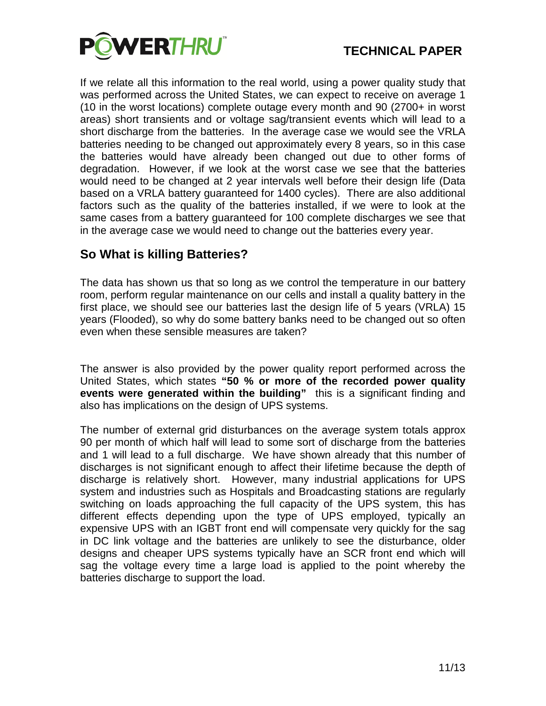

If we relate all this information to the real world, using a power quality study that was performed across the United States, we can expect to receive on average 1 (10 in the worst locations) complete outage every month and 90 (2700+ in worst areas) short transients and or voltage sag/transient events which will lead to a short discharge from the batteries. In the average case we would see the VRLA batteries needing to be changed out approximately every 8 years, so in this case the batteries would have already been changed out due to other forms of degradation. However, if we look at the worst case we see that the batteries would need to be changed at 2 year intervals well before their design life (Data based on a VRLA battery guaranteed for 1400 cycles). There are also additional factors such as the quality of the batteries installed, if we were to look at the same cases from a battery guaranteed for 100 complete discharges we see that in the average case we would need to change out the batteries every year.

### **So What is killing Batteries?**

The data has shown us that so long as we control the temperature in our battery room, perform regular maintenance on our cells and install a quality battery in the first place, we should see our batteries last the design life of 5 years (VRLA) 15 years (Flooded), so why do some battery banks need to be changed out so often even when these sensible measures are taken?

The answer is also provided by the power quality report performed across the United States, which states **"50 % or more of the recorded power quality events were generated within the building"** this is a significant finding and also has implications on the design of UPS systems.

The number of external grid disturbances on the average system totals approx 90 per month of which half will lead to some sort of discharge from the batteries and 1 will lead to a full discharge. We have shown already that this number of discharges is not significant enough to affect their lifetime because the depth of discharge is relatively short. However, many industrial applications for UPS system and industries such as Hospitals and Broadcasting stations are regularly switching on loads approaching the full capacity of the UPS system, this has different effects depending upon the type of UPS employed, typically an expensive UPS with an IGBT front end will compensate very quickly for the sag in DC link voltage and the batteries are unlikely to see the disturbance, older designs and cheaper UPS systems typically have an SCR front end which will sag the voltage every time a large load is applied to the point whereby the batteries discharge to support the load.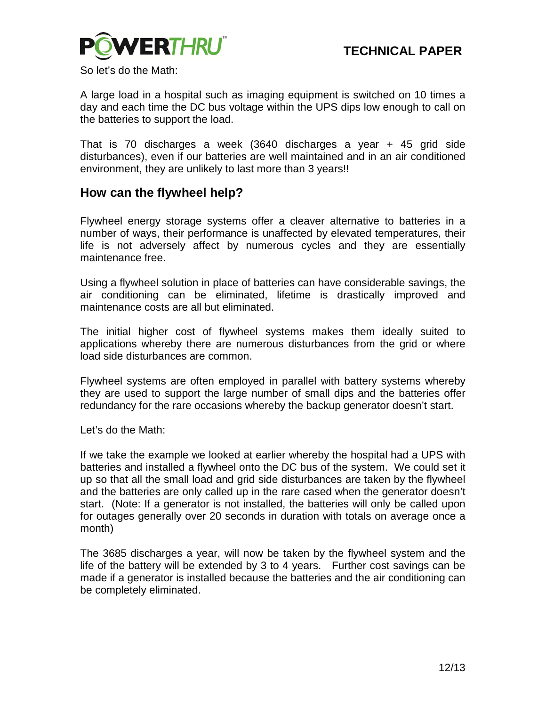

So let's do the Math:

A large load in a hospital such as imaging equipment is switched on 10 times a day and each time the DC bus voltage within the UPS dips low enough to call on the batteries to support the load.

That is 70 discharges a week (3640 discharges a year + 45 grid side disturbances), even if our batteries are well maintained and in an air conditioned environment, they are unlikely to last more than 3 years!!

#### **How can the flywheel help?**

Flywheel energy storage systems offer a cleaver alternative to batteries in a number of ways, their performance is unaffected by elevated temperatures, their life is not adversely affect by numerous cycles and they are essentially maintenance free.

Using a flywheel solution in place of batteries can have considerable savings, the air conditioning can be eliminated, lifetime is drastically improved and maintenance costs are all but eliminated.

The initial higher cost of flywheel systems makes them ideally suited to applications whereby there are numerous disturbances from the grid or where load side disturbances are common.

Flywheel systems are often employed in parallel with battery systems whereby they are used to support the large number of small dips and the batteries offer redundancy for the rare occasions whereby the backup generator doesn't start.

Let's do the Math:

If we take the example we looked at earlier whereby the hospital had a UPS with batteries and installed a flywheel onto the DC bus of the system. We could set it up so that all the small load and grid side disturbances are taken by the flywheel and the batteries are only called up in the rare cased when the generator doesn't start. (Note: If a generator is not installed, the batteries will only be called upon for outages generally over 20 seconds in duration with totals on average once a month)

The 3685 discharges a year, will now be taken by the flywheel system and the life of the battery will be extended by 3 to 4 years. Further cost savings can be made if a generator is installed because the batteries and the air conditioning can be completely eliminated.